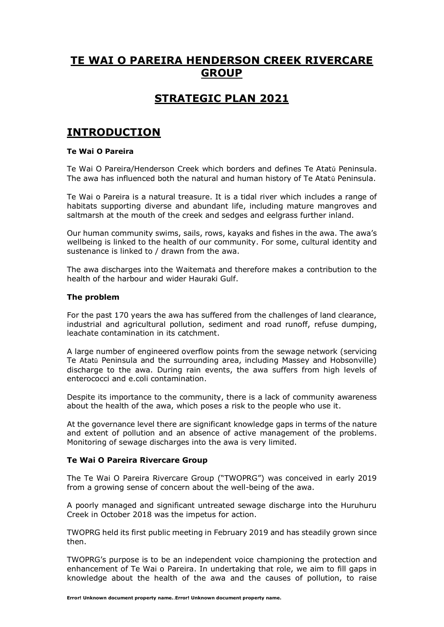## **TE WAI O PAREIRA HENDERSON CREEK RIVERCARE GROUP**

## **STRATEGIC PLAN 2021**

## **INTRODUCTION**

## **Te Wai O Pareira**

Te Wai O Pareira/Henderson Creek which borders and defines Te Atatū Peninsula. The awa has influenced both the natural and human history of Te Atatū Peninsula.

Te Wai o Pareira is a natural treasure. It is a tidal river which includes a range of habitats supporting diverse and abundant life, including mature mangroves and saltmarsh at the mouth of the creek and sedges and eelgrass further inland.

Our human community swims, sails, rows, kayaks and fishes in the awa. The awa's wellbeing is linked to the health of our community. For some, cultural identity and sustenance is linked to / drawn from the awa.

The awa discharges into the Waitematā and therefore makes a contribution to the health of the harbour and wider Hauraki Gulf.

#### **The problem**

For the past 170 years the awa has suffered from the challenges of land clearance, industrial and agricultural pollution, sediment and road runoff, refuse dumping, leachate contamination in its catchment.

A large number of engineered overflow points from the sewage network (servicing Te Atatū Peninsula and the surrounding area, including Massey and Hobsonville) discharge to the awa. During rain events, the awa suffers from high levels of enterococci and e.coli contamination.

Despite its importance to the community, there is a lack of community awareness about the health of the awa, which poses a risk to the people who use it.

At the governance level there are significant knowledge gaps in terms of the nature and extent of pollution and an absence of active management of the problems. Monitoring of sewage discharges into the awa is very limited.

### **Te Wai O Pareira Rivercare Group**

The Te Wai O Pareira Rivercare Group ("TWOPRG") was conceived in early 2019 from a growing sense of concern about the well-being of the awa.

A poorly managed and significant untreated sewage discharge into the Huruhuru Creek in October 2018 was the impetus for action.

TWOPRG held its first public meeting in February 2019 and has steadily grown since then.

TWOPRG's purpose is to be an independent voice championing the protection and enhancement of Te Wai o Pareira. In undertaking that role, we aim to fill gaps in knowledge about the health of the awa and the causes of pollution, to raise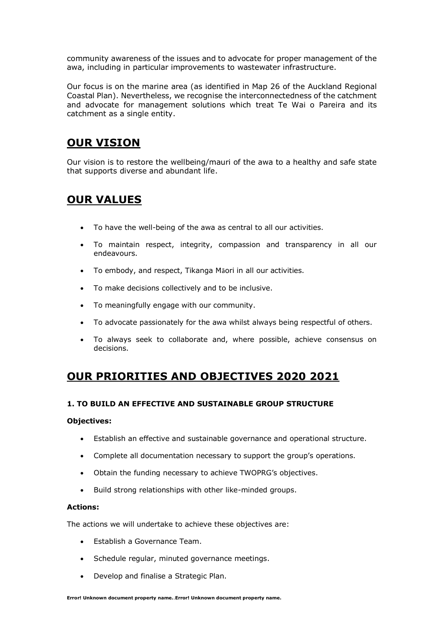community awareness of the issues and to advocate for proper management of the awa, including in particular improvements to wastewater infrastructure.

Our focus is on the marine area (as identified in Map 26 of the Auckland Regional Coastal Plan). Nevertheless, we recognise the interconnectedness of the catchment and advocate for management solutions which treat Te Wai o Pareira and its catchment as a single entity.

## **OUR VISION**

Our vision is to restore the wellbeing/mauri of the awa to a healthy and safe state that supports diverse and abundant life.

## **OUR VALUES**

- To have the well-being of the awa as central to all our activities.
- To maintain respect, integrity, compassion and transparency in all our endeavours.
- To embody, and respect, Tikanga Māori in all our activities.
- To make decisions collectively and to be inclusive.
- To meaningfully engage with our community.
- To advocate passionately for the awa whilst always being respectful of others.
- To always seek to collaborate and, where possible, achieve consensus on decisions.

# **OUR PRIORITIES AND OBJECTIVES 2020 2021**

## **1. TO BUILD AN EFFECTIVE AND SUSTAINABLE GROUP STRUCTURE**

### **Objectives:**

- Establish an effective and sustainable governance and operational structure.
- Complete all documentation necessary to support the group's operations.
- Obtain the funding necessary to achieve TWOPRG's objectives.
- Build strong relationships with other like-minded groups.

### **Actions:**

The actions we will undertake to achieve these objectives are:

- Establish a Governance Team.
- Schedule regular, minuted governance meetings.
- Develop and finalise a Strategic Plan.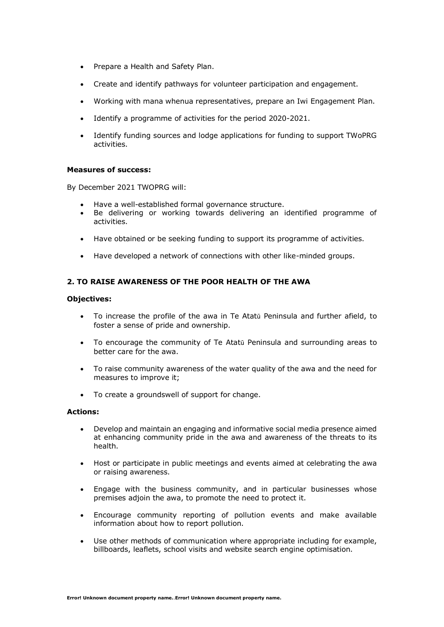- Prepare a Health and Safety Plan.
- Create and identify pathways for volunteer participation and engagement.
- Working with mana whenua representatives, prepare an Iwi Engagement Plan.
- Identify a programme of activities for the period 2020-2021.
- Identify funding sources and lodge applications for funding to support TWoPRG activities.

#### **Measures of success:**

By December 2021 TWOPRG will:

- Have a well-established formal governance structure.
- Be delivering or working towards delivering an identified programme of activities.
- Have obtained or be seeking funding to support its programme of activities.
- Have developed a network of connections with other like-minded groups.

## **2. TO RAISE AWARENESS OF THE POOR HEALTH OF THE AWA**

#### **Objectives:**

- To increase the profile of the awa in Te Atatū Peninsula and further afield, to foster a sense of pride and ownership.
- To encourage the community of Te Atatū Peninsula and surrounding areas to better care for the awa.
- To raise community awareness of the water quality of the awa and the need for measures to improve it;
- To create a groundswell of support for change.

#### **Actions:**

- Develop and maintain an engaging and informative social media presence aimed at enhancing community pride in the awa and awareness of the threats to its health.
- Host or participate in public meetings and events aimed at celebrating the awa or raising awareness.
- Engage with the business community, and in particular businesses whose premises adjoin the awa, to promote the need to protect it.
- Encourage community reporting of pollution events and make available information about how to report pollution.
- Use other methods of communication where appropriate including for example, billboards, leaflets, school visits and website search engine optimisation.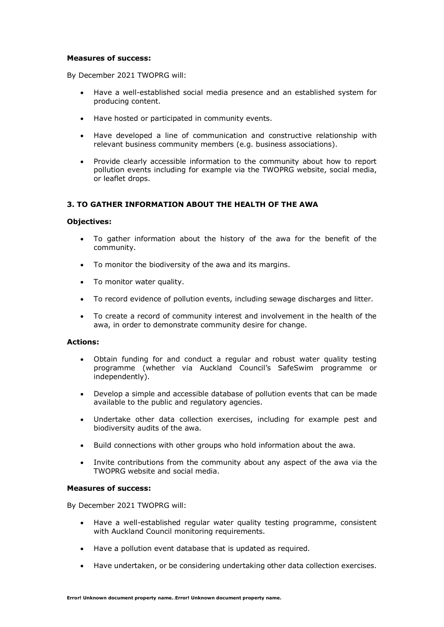#### **Measures of success:**

By December 2021 TWOPRG will:

- Have a well-established social media presence and an established system for producing content.
- Have hosted or participated in community events.
- Have developed a line of communication and constructive relationship with relevant business community members (e.g. business associations).
- Provide clearly accessible information to the community about how to report pollution events including for example via the TWOPRG website, social media, or leaflet drops.

### **3. TO GATHER INFORMATION ABOUT THE HEALTH OF THE AWA**

#### **Objectives:**

- To gather information about the history of the awa for the benefit of the community.
- To monitor the biodiversity of the awa and its margins.
- To monitor water quality.
- To record evidence of pollution events, including sewage discharges and litter.
- To create a record of community interest and involvement in the health of the awa, in order to demonstrate community desire for change.

#### **Actions:**

- Obtain funding for and conduct a regular and robust water quality testing programme (whether via Auckland Council's SafeSwim programme or independently).
- Develop a simple and accessible database of pollution events that can be made available to the public and regulatory agencies.
- Undertake other data collection exercises, including for example pest and biodiversity audits of the awa.
- Build connections with other groups who hold information about the awa.
- Invite contributions from the community about any aspect of the awa via the TWOPRG website and social media.

#### **Measures of success:**

By December 2021 TWOPRG will:

- Have a well-established regular water quality testing programme, consistent with Auckland Council monitoring requirements.
- Have a pollution event database that is updated as required.
- Have undertaken, or be considering undertaking other data collection exercises.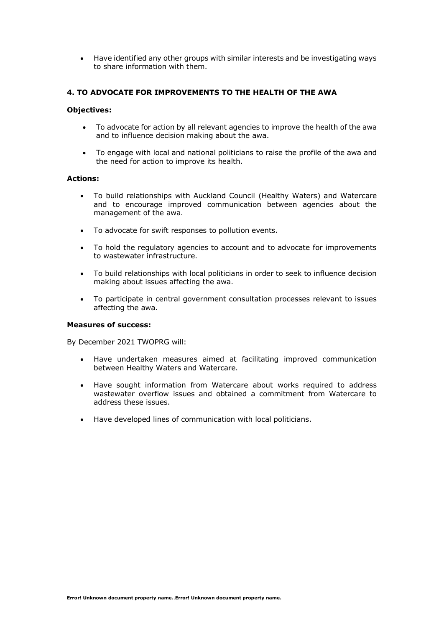• Have identified any other groups with similar interests and be investigating ways to share information with them.

### **4. TO ADVOCATE FOR IMPROVEMENTS TO THE HEALTH OF THE AWA**

#### **Objectives:**

- To advocate for action by all relevant agencies to improve the health of the awa and to influence decision making about the awa.
- To engage with local and national politicians to raise the profile of the awa and the need for action to improve its health.

#### **Actions:**

- To build relationships with Auckland Council (Healthy Waters) and Watercare and to encourage improved communication between agencies about the management of the awa.
- To advocate for swift responses to pollution events.
- To hold the regulatory agencies to account and to advocate for improvements to wastewater infrastructure.
- To build relationships with local politicians in order to seek to influence decision making about issues affecting the awa.
- To participate in central government consultation processes relevant to issues affecting the awa.

#### **Measures of success:**

By December 2021 TWOPRG will:

- Have undertaken measures aimed at facilitating improved communication between Healthy Waters and Watercare.
- Have sought information from Watercare about works required to address wastewater overflow issues and obtained a commitment from Watercare to address these issues.
- Have developed lines of communication with local politicians.